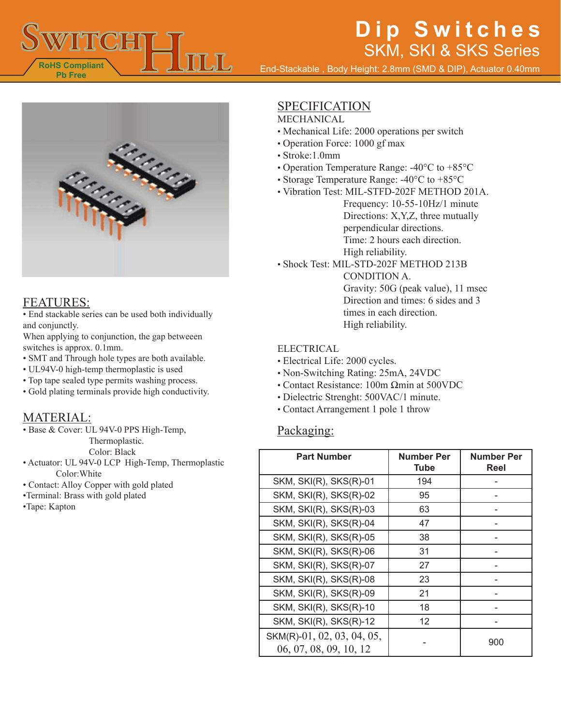

End-Stackable , Body Height: 2.8mm (SMD & DIP), Actuator 0.40mm



### FEATURES:

• End stackable series can be used both individually and conjunctly.

When applying to conjunction, the gap betweeen switches is approx. 0.1mm.

• SMT and Through hole types are both available.

- UL94V-0 high-temp thermoplastic is used
- Top tape sealed type permits washing process.
- Gold plating terminals provide high conductivity.

### MATERIAL:

• Base & Cover: UL 94V-0 PPS High-Temp,

Thermoplastic.

Color: Black

- Actuator: UL 94V-0 LCP High-Temp, Thermoplastic Color:White
- Contact: Alloy Copper with gold plated
- •Terminal: Brass with gold plated

•Tape: Kapton

### SPECIFICATION

#### MECHANICAL

- Mechanical Life: 2000 operations per switch
- Operation Force: 1000 gf max
- Stroke:1.0mm
- Operation Temperature Range: -40°C to +85°C
- Storage Temperature Range: -40°C to +85°C
- Vibration Test: MIL-STFD-202F METHOD 201A. Frequency: 10-55-10Hz/1 minute Directions: X,Y,Z, three mutually perpendicular directions. Time: 2 hours each direction. High reliability.
- Shock Test: MIL-STD-202F METHOD 213B CONDITION A. Gravity: 50G (peak value), 11 msec Direction and times: 6 sides and 3 times in each direction. High reliability.

#### ELECTRICAL

- Electrical Life: 2000 cycles.
- Non-Switching Rating: 25mA, 24VDC
- Contact Resistance: 100m Ωmin at 500VDC
- Dielectric Strenght: 500VAC/1 minute.
- Contact Arrangement 1 pole 1 throw

#### Packaging:

| <b>Part Number</b>                                   | <b>Number Per</b><br><b>Tube</b> | <b>Number Per</b><br>Reel |
|------------------------------------------------------|----------------------------------|---------------------------|
| SKM, SKI(R), SKS(R)-01                               | 194                              |                           |
| SKM, SKI(R), SKS(R)-02                               | 95                               |                           |
| SKM, SKI(R), SKS(R)-03                               | 63                               |                           |
| SKM, SKI(R), SKS(R)-04                               | 47                               |                           |
| SKM, SKI(R), SKS(R)-05                               | 38                               |                           |
| SKM, SKI(R), SKS(R)-06                               | 31                               |                           |
| SKM, SKI(R), SKS(R)-07                               | 27                               |                           |
| SKM, SKI(R), SKS(R)-08                               | 23                               |                           |
| SKM, SKI(R), SKS(R)-09                               | 21                               |                           |
| SKM, SKI(R), SKS(R)-10                               | 18                               |                           |
| SKM, SKI(R), SKS(R)-12                               | 12                               |                           |
| SKM(R)-01, 02, 03, 04, 05,<br>06, 07, 08, 09, 10, 12 |                                  | 900                       |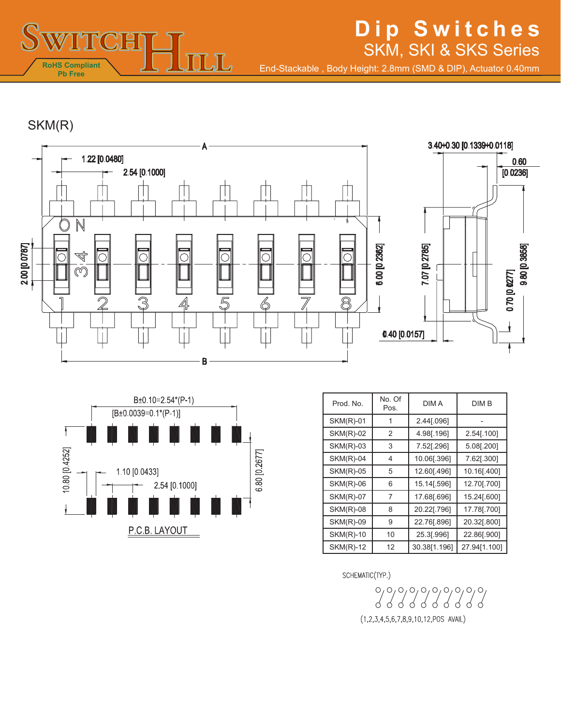

End-Stackable , Body Height: 2.8mm (SMD & DIP), Actuator 0.40mm

SKM(R)





| Prod. No.        | No. Of<br>Pos. | <b>DIMA</b>  | DIM B        |
|------------------|----------------|--------------|--------------|
| <b>SKM(R)-01</b> | 1              | 2.44[.096]   |              |
| <b>SKM(R)-02</b> | 2              | 4.98[.196]   | 2.54[.100]   |
| <b>SKM(R)-03</b> | 3              | 7.52[.296]   | 5.08[.200]   |
| <b>SKM(R)-04</b> | 4              | 10.06[.396]  | 7.62[.300]   |
| <b>SKM(R)-05</b> | 5              | 12.60[.496]  | 10.16[.400]  |
| <b>SKM(R)-06</b> | 6              | 15.14[.596]  | 12.70[.700]  |
| <b>SKM(R)-07</b> | 7              | 17.68[.696]  | 15.24[.600]  |
| $SKM(R)-08$      | 8              | 20.22[.796]  | 17.78[.700]  |
| <b>SKM(R)-09</b> | 9              | 22.76[.896]  | 20.32[.800]  |
| <b>SKM(R)-10</b> | 10             | 25.3[.996]   | 22.86[.900]  |
| <b>SKM(R)-12</b> | 12             | 30.38[1.196] | 27.94[1.100] |

SCHEMATIC(TYP.)

 $\delta$  $(1,2,3,4,5,6,7,8,9,10,12,POS$  AVAIL)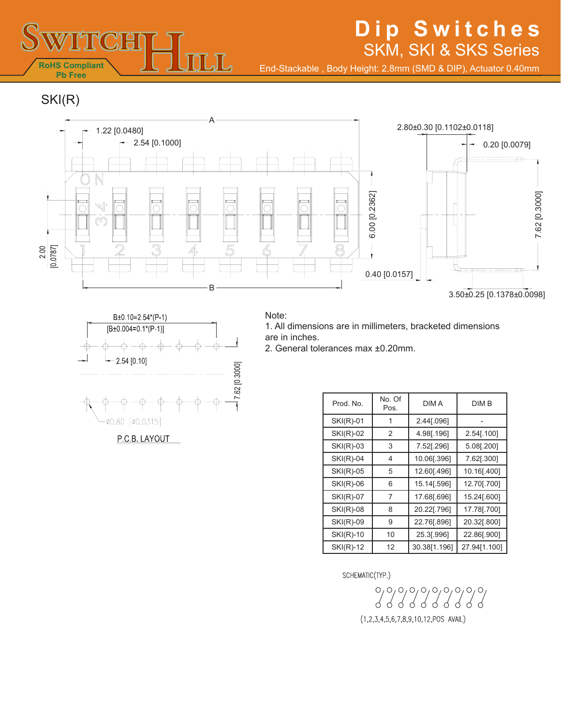

B±0.10=2.54\*(P-1)  $[B±0.004=0.1*(P-1)]$ 

> क़ </u>

 $-2.54 [0.10]$ 

Ø0.80 [Ø0.0315]

P.C.B. LAYOUT

## **Dip Switches** SKM, SKI & SKS Series

End-Stackable , Body Height: 2.8mm (SMD & DIP), Actuator 0.40mm

SKI(R)





 $-17.62$  [0.3000]

1. All dimensions are in millimeters, bracketed dimensions are in inches.

2. General tolerances max ±0.20mm.

| Prod. No.        | No. Of<br>Pos. | DIM A        | DIM B        |
|------------------|----------------|--------------|--------------|
| $SKI(R)-01$      | 1              | 2.44[.096]   |              |
| $SKI(R)-02$      | 2              | 4.98[.196]   | 2.54[.100]   |
| $SKI(R)-03$      | 3              | 7.52[.296]   | 5.08[.200]   |
| $SKI(R)-04$      | 4              | 10.06[.396]  | 7.62[.300]   |
| $SKI(R)-05$      | 5              | 12.60[.496]  | 10.16[.400]  |
| $SKI(R)-06$      | 6              | 15.14[.596]  | 12.70[.700]  |
| <b>SKI(R)-07</b> | 7              | 17.68[.696]  | 15.24[.600]  |
| $SKI(R)-08$      | 8              | 20.22[.796]  | 17.78[.700]  |
| <b>SKI(R)-09</b> | 9              | 22.76[.896]  | 20.32[.800]  |
| $SKI(R)-10$      | 10             | 25.3[.996]   | 22.86[.900]  |
| <b>SKI(R)-12</b> | 12             | 30.38[1.196] | 27.94[1.100] |

SCHEMATIC(TYP.)

 $(1,2,3,4,5,6,7,8,9,10,12,POS$  AVAIL)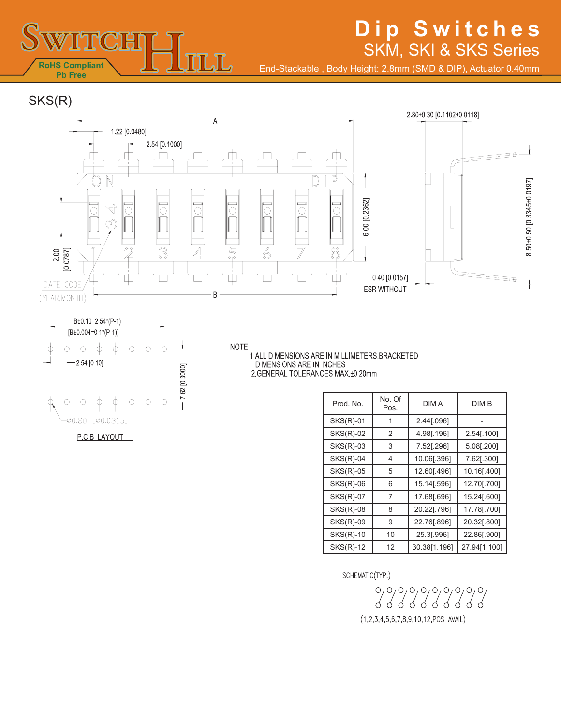

End-Stackable , Body Height: 2.8mm (SMD & DIP), Actuator 0.40mm

SKS(R)





P.C.B. LAYOUT

NOTE: .<br>1.ALL DIMENSIONS ARE IN MILLIMETERS,BRACKETED<br>DIMENSIONS ARE IN INCHES. 2. GENERAL TOLERANCES MAX ±0.20mm.

| Prod. No.        | No. Of<br>Pos. | <b>DIMA</b>  | DIM B        |
|------------------|----------------|--------------|--------------|
| $SKS(R)-01$      | 1              | 2.44[.096]   |              |
| <b>SKS(R)-02</b> | 2              | 4.98[.196]   | 2.54[.100]   |
| $SKS(R)-03$      | 3              | 7.52[.296]   | 5.08[.200]   |
| $SKS(R)-04$      | 4              | 10.06[.396]  | 7.62[.300]   |
| $SKS(R)-05$      | 5              | 12.60[.496]  | 10.16[.400]  |
| <b>SKS(R)-06</b> | 6              | 15.14[.596]  | 12.70[.700]  |
| <b>SKS(R)-07</b> | 7              | 17.68[.696]  | 15.24[.600]  |
| $SKS(R)-08$      | 8              | 20.22[.796]  | 17.78[.700]  |
| <b>SKS(R)-09</b> | 9              | 22.76[.896]  | 20.32[.800]  |
| <b>SKS(R)-10</b> | 10             | 25.3[.996]   | 22.86[.900]  |
| <b>SKS(R)-12</b> | 12             | 30.38[1.196] | 27.94[1.100] |

SCHEMATIC(TYP.)

 $(1,2,3,4,5,6,7,8,9,10,12,POS$  AVAIL)